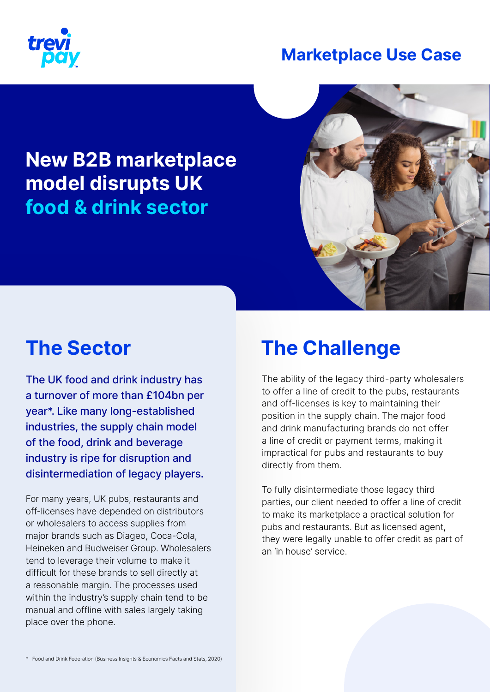

### **Marketplace Use Case**

### **New B2B marketplace model disrupts UK food & drink sector**



## **The Sector**

The UK food and drink industry has a turnover of more than £104bn per year\*. Like many long-established industries, the supply chain model of the food, drink and beverage industry is ripe for disruption and disintermediation of legacy players.

For many years, UK pubs, restaurants and off-licenses have depended on distributors or wholesalers to access supplies from major brands such as Diageo, Coca-Cola, Heineken and Budweiser Group. Wholesalers tend to leverage their volume to make it difficult for these brands to sell directly at a reasonable margin. The processes used within the industry's supply chain tend to be manual and offline with sales largely taking place over the phone.

## **The Challenge**

The ability of the legacy third-party wholesalers to offer a line of credit to the pubs, restaurants and off-licenses is key to maintaining their position in the supply chain. The major food and drink manufacturing brands do not offer a line of credit or payment terms, making it impractical for pubs and restaurants to buy directly from them.

To fully disintermediate those legacy third parties, our client needed to offer a line of credit to make its marketplace a practical solution for pubs and restaurants. But as licensed agent, they were legally unable to offer credit as part of an 'in house' service.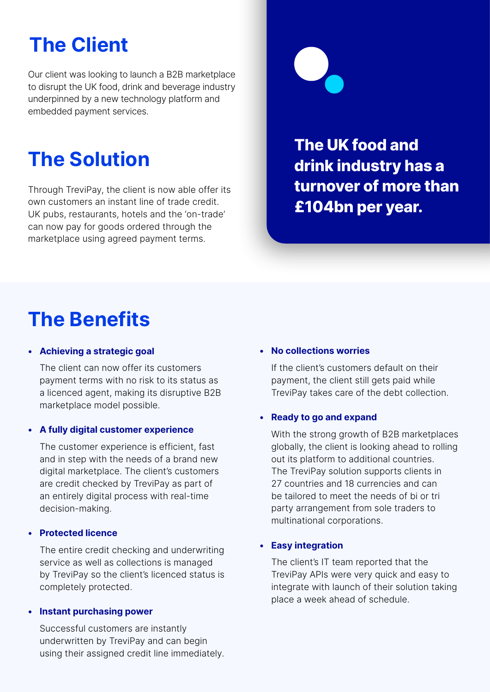# **The Client**

Our client was looking to launch a B2B marketplace to disrupt the UK food, drink and beverage industry underpinned by a new technology platform and embedded payment services.

## **The Solution**

Through TreviPay, the client is now able offer its own customers an instant line of trade credit. UK pubs, restaurants, hotels and the 'on-trade' can now pay for goods ordered through the marketplace using agreed payment terms.



**The UK food and drink industry has a turnover of more than £104bn per year.**

## **The Benefits**

#### **• Achieving a strategic goal**

The client can now offer its customers payment terms with no risk to its status as a licenced agent, making its disruptive B2B marketplace model possible.

#### **• A fully digital customer experience**

The customer experience is efficient, fast and in step with the needs of a brand new digital marketplace. The client's customers are credit checked by TreviPay as part of an entirely digital process with real-time decision-making.

#### **• Protected licence**

The entire credit checking and underwriting service as well as collections is managed by TreviPay so the client's licenced status is completely protected.

#### **• Instant purchasing power**

Successful customers are instantly underwritten by TreviPay and can begin using their assigned credit line immediately.

#### **• No collections worries**

If the client's customers default on their payment, the client still gets paid while TreviPay takes care of the debt collection.

#### **• Ready to go and expand**

With the strong growth of B2B marketplaces globally, the client is looking ahead to rolling out its platform to additional countries. The TreviPay solution supports clients in 27 countries and 18 currencies and can be tailored to meet the needs of bi or tri party arrangement from sole traders to multinational corporations.

#### **• Easy integration**

The client's IT team reported that the TreviPay APIs were very quick and easy to integrate with launch of their solution taking place a week ahead of schedule.